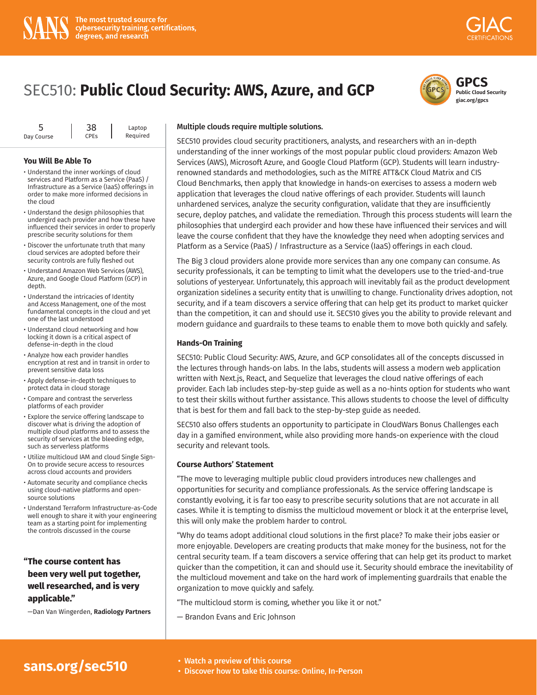



**giac.org/gpcs**

| ∽          | 38                     | Laptop   |
|------------|------------------------|----------|
| Day Course | <b>CPE<sub>S</sub></b> | Required |

#### **You Will Be Able To**

- Understand the inner workings of cloud services and Platform as a Service (PaaS) / Infrastructure as a Service (IaaS) offerings in order to make more informed decisions in the cloud
- Understand the design philosophies that undergird each provider and how these have influenced their services in order to properly prescribe security solutions for them
- Discover the unfortunate truth that many cloud services are adopted before their security controls are fully fleshed out
- Understand Amazon Web Services (AWS), Azure, and Google Cloud Platform (GCP) in depth.
- Understand the intricacies of Identity and Access Management, one of the most fundamental concepts in the cloud and yet one of the last understood
- Understand cloud networking and how locking it down is a critical aspect of defense-in-depth in the cloud
- Analyze how each provider handles encryption at rest and in transit in order to prevent sensitive data loss
- Apply defense-in-depth techniques to protect data in cloud storage
- Compare and contrast the serverless platforms of each provider
- Explore the service offering landscape to discover what is driving the adoption of multiple cloud platforms and to assess the security of services at the bleeding edge, such as serverless platforms
- Utilize multicloud IAM and cloud Single Sign-On to provide secure access to resources across cloud accounts and providers
- Automate security and compliance checks using cloud-native platforms and opensource solutions
- Understand Terraform Infrastructure-as-Code well enough to share it with your engineering team as a starting point for implementing the controls discussed in the course

**"The course content has been very well put together, well researched, and is very applicable."**

—Dan Van Wingerden, **Radiology Partners**

#### Multiple clouds require multiple solutions.

SEC510 provides cloud security practitioners, analysts, and researchers with an in-depth understanding of the inner workings of the most popular public cloud providers: Amazon Web Services (AWS), Microsoft Azure, and Google Cloud Platform (GCP). Students will learn industryrenowned standards and methodologies, such as the MITRE ATT&CK Cloud Matrix and CIS Cloud Benchmarks, then apply that knowledge in hands-on exercises to assess a modern web application that leverages the cloud native offerings of each provider. Students will launch unhardened services, analyze the security configuration, validate that they are insufficiently secure, deploy patches, and validate the remediation. Through this process students will learn the philosophies that undergird each provider and how these have influenced their services and will leave the course confident that they have the knowledge they need when adopting services and Platform as a Service (PaaS) / Infrastructure as a Service (IaaS) offerings in each cloud.

The Big 3 cloud providers alone provide more services than any one company can consume. As security professionals, it can be tempting to limit what the developers use to the tried-and-true solutions of yesteryear. Unfortunately, this approach will inevitably fail as the product development organization sidelines a security entity that is unwilling to change. Functionality drives adoption, not security, and if a team discovers a service offering that can help get its product to market quicker than the competition, it can and should use it. SEC510 gives you the ability to provide relevant and modern guidance and guardrails to these teams to enable them to move both quickly and safely.

### **Hands-On Training**

SEC510: Public Cloud Security: AWS, Azure, and GCP consolidates all of the concepts discussed in the lectures through hands-on labs. In the labs, students will assess a modern web application written with Next.js, React, and Sequelize that leverages the cloud native offerings of each provider. Each lab includes step-by-step guide as well as a no-hints option for students who want to test their skills without further assistance. This allows students to choose the level of difficulty that is best for them and fall back to the step-by-step guide as needed.

SEC510 also offers students an opportunity to participate in CloudWars Bonus Challenges each day in a gamified environment, while also providing more hands-on experience with the cloud security and relevant tools.

### **Course Authors' Statement**

"The move to leveraging multiple public cloud providers introduces new challenges and opportunities for security and compliance professionals. As the service offering landscape is constantly evolving, it is far too easy to prescribe security solutions that are not accurate in all cases. While it is tempting to dismiss the multicloud movement or block it at the enterprise level, this will only make the problem harder to control.

"Why do teams adopt additional cloud solutions in the first place? To make their jobs easier or more enjoyable. Developers are creating products that make money for the business, not for the central security team. If a team discovers a service offering that can help get its product to market quicker than the competition, it can and should use it. Security should embrace the inevitability of the multicloud movement and take on the hard work of implementing guardrails that enable the organization to move quickly and safely.

"The multicloud storm is coming, whether you like it or not."

— Brandon Evans and Eric Johnson

# **[sans.org/sec510](https://www.sans.org/cyber-security-courses/public-cloud-security-aws-azure-gcp/)** • Watch a preview of this course

- 
- Discover how to take this course: Online, In-Person